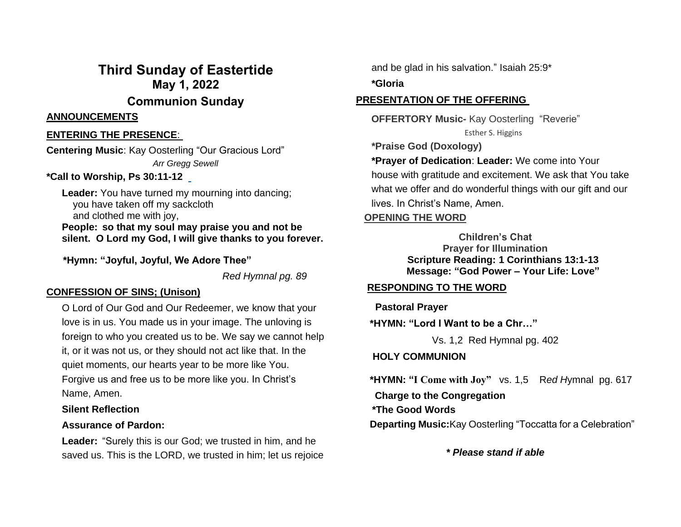## **Third Sunday of Eastertide May 1, 2022 Communion Sunday**

#### **ANNOUNCEMENTS**

#### **ENTERING THE PRESENCE**:

**Centering Music**: Kay Oosterling "Our Gracious Lord" *Arr Gregg Sewell*

#### **\*Call to Worship, Ps 30:11-12**

**Leader:** You have turned my mourning into dancing; you have taken off my sackcloth and clothed me with joy, **People: so that my soul may praise you and not be silent. O Lord my God, I will give thanks to you forever.**

 **\*Hymn: "Joyful, Joyful, We Adore Thee"**

*Red Hymnal pg. 89*

#### **CONFESSION OF SINS; (Unison)**

O Lord of Our God and Our Redeemer, we know that your love is in us. You made us in your image. The unloving is foreign to who you created us to be. We say we cannot help it, or it was not us, or they should not act like that. In the quiet moments, our hearts year to be more like You. Forgive us and free us to be more like you. In Christ's Name, Amen.

#### **Silent Reflection**

#### **Assurance of Pardon:**

**Leader:** "Surely this is our God; we trusted in him, and he saved us. This is the LORD, we trusted in him; let us rejoice and be glad in his salvation." Isaiah 25:9\*

**\*Gloria**

## **PRESENTATION OF THE OFFERING**

 **OFFERTORY Music-** Kay Oosterling "Reverie" Esther S. Higgins

**\*Praise God (Doxology)**

**\*Prayer of Dedication**: **Leader:** We come into Your house with gratitude and excitement. We ask that You take what we offer and do wonderful things with our gift and our lives. In Christ's Name, Amen.

## **OPENING THE WORD**

**Children's Chat Prayer for Illumination Scripture Reading: 1 Corinthians 13:1-13 Message: "God Power – Your Life: Love"**

## **RESPONDING TO THE WORD**

**Pastoral Prayer** 

 **\*HYMN: "Lord I Want to be a Chr…"**

Vs. 1,2 Red Hymnal pg. 402

#### **HOLY COMMUNION**

 **\*HYMN: "I Come with Joy"** vs. 1,5 R*ed H*ymnalpg. 617  **Charge to the Congregation \*The Good Words Departing Music:**Kay Oosterling "Toccatta for a Celebration"

*\* Please stand if able*